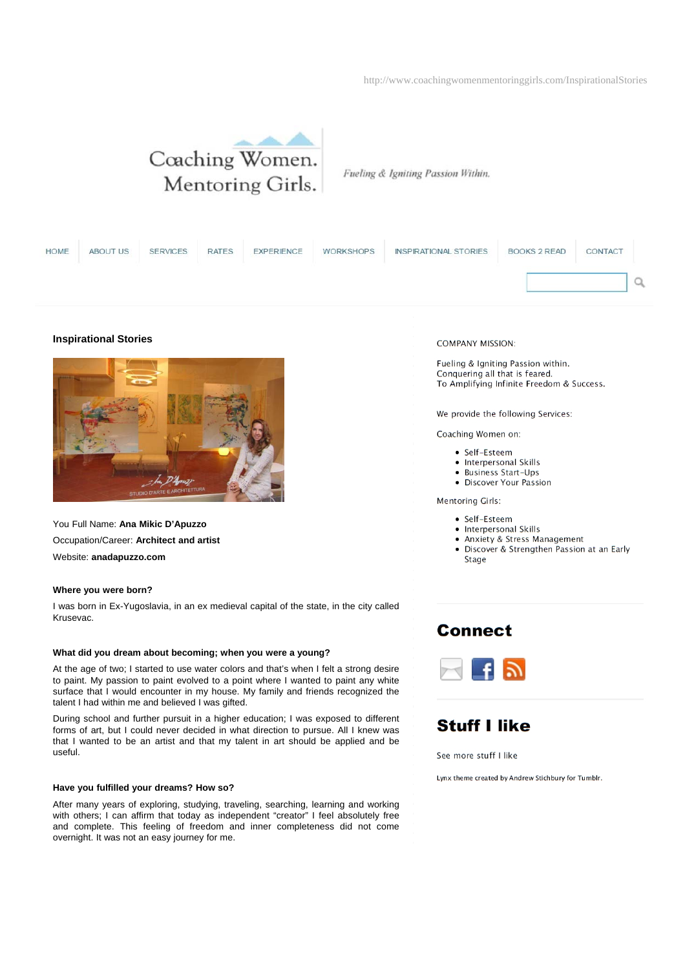# http://www.coachingwomenmentoringgirls.com/InspirationalStories



Fueling & Igniting Passion Within.



# **Inspirational Stories**



You Full Name: **Ana Mikic D'Apuzzo** Occupation/Career: **Architect and artist** Website: **anadapuzzo.com**

#### **Where you were born?**

I was born in Ex-Yugoslavia, in an ex medieval capital of the state, in the city called Krusevac.

## **What did you dream about becoming; when you were a young?**

At the age of two; I started to use water colors and that's when I felt a strong desire to paint. My passion to paint evolved to a point where I wanted to paint any white surface that I would encounter in my house. My family and friends recognized the talent I had within me and believed I was gifted.

During school and further pursuit in a higher education; I was exposed to different forms of art, but I could never decided in what direction to pursue. All I knew was that I wanted to be an artist and that my talent in art should be applied and be useful.

# **Have you fulfilled your dreams? How so?**

After many years of exploring, studying, traveling, searching, learning and working with others; I can affirm that today as independent "creator" I feel absolutely free and complete. This feeling of freedom and inner completeness did not come overnight. It was not an easy journey for me.

#### **COMPANY MISSION:**

Fueling & Igniting Passion within. Conquering all that is feared. To Amplifying Infinite Freedom & Success.

We provide the following Services:

Coaching Women on:

- Self-Esteem
- Interpersonal Skills
- **Business Start-Ups**
- Discover Your Passion

#### **Mentoring Girls:**

- Self-Esteem
- Interpersonal Skills
- Anxiety & Stress Management
- Discover & Strengthen Passion at an Early Stage





# **Stuff I like**

See more stuff I like

Lynx theme created by Andrew Stichbury for Tumblr.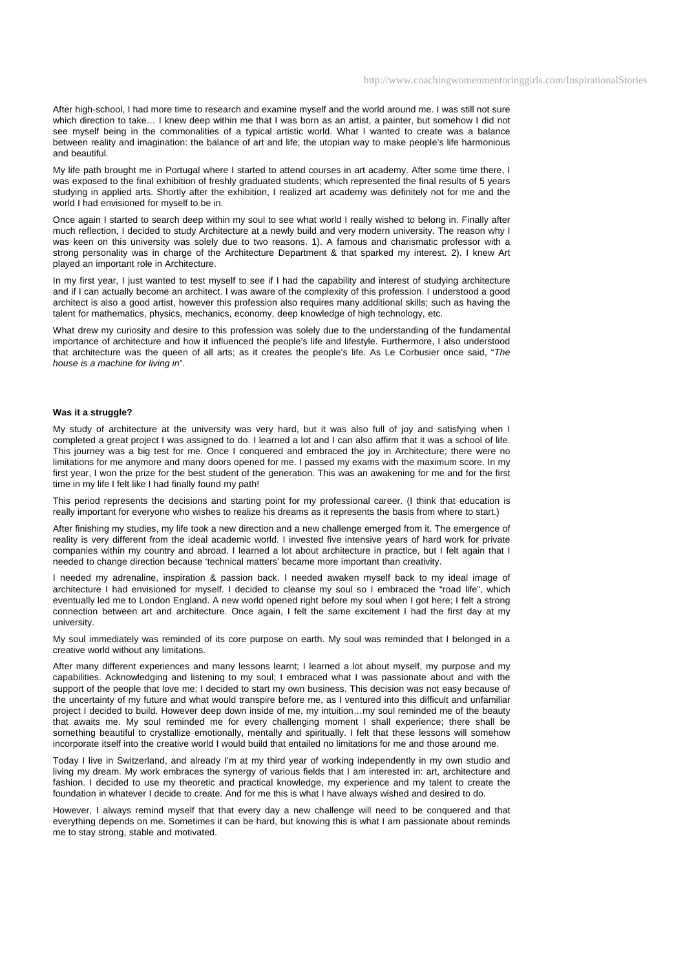After high-school, I had more time to research and examine myself and the world around me. I was still not sure which direction to take… I knew deep within me that I was born as an artist, a painter, but somehow I did not see myself being in the commonalities of a typical artistic world. What I wanted to create was a balance between reality and imagination: the balance of art and life; the utopian way to make people's life harmonious and beautiful.

My life path brought me in Portugal where I started to attend courses in art academy. After some time there, I was exposed to the final exhibition of freshly graduated students; which represented the final results of 5 years studying in applied arts. Shortly after the exhibition, I realized art academy was definitely not for me and the world I had envisioned for myself to be in.

Once again I started to search deep within my soul to see what world I really wished to belong in. Finally after much reflection, I decided to study Architecture at a newly build and very modern university. The reason why I was keen on this university was solely due to two reasons. 1). A famous and charismatic professor with a strong personality was in charge of the Architecture Department & that sparked my interest. 2). I knew Art played an important role in Architecture.

In my first year, I just wanted to test myself to see if I had the capability and interest of studying architecture and if I can actually become an architect. I was aware of the complexity of this profession. I understood a good architect is also a good artist, however this profession also requires many additional skills; such as having the talent for mathematics, physics, mechanics, economy, deep knowledge of high technology, etc.

What drew my curiosity and desire to this profession was solely due to the understanding of the fundamental importance of architecture and how it influenced the people's life and lifestyle. Furthermore, I also understood that architecture was the queen of all arts; as it creates the people's life. As Le Corbusier once said, "*The house is a machine for living in*".

#### **Was it a struggle?**

My study of architecture at the university was very hard, but it was also full of joy and satisfying when I completed a great project I was assigned to do. I learned a lot and I can also affirm that it was a school of life. This journey was a big test for me. Once I conquered and embraced the joy in Architecture; there were no limitations for me anymore and many doors opened for me. I passed my exams with the maximum score. In my first year, I won the prize for the best student of the generation. This was an awakening for me and for the first time in my life I felt like I had finally found my path!

This period represents the decisions and starting point for my professional career. (I think that education is really important for everyone who wishes to realize his dreams as it represents the basis from where to start.)

After finishing my studies, my life took a new direction and a new challenge emerged from it. The emergence of reality is very different from the ideal academic world. I invested five intensive years of hard work for private companies within my country and abroad. I learned a lot about architecture in practice, but I felt again that I needed to change direction because 'technical matters' became more important than creativity.

I needed my adrenaline, inspiration & passion back. I needed awaken myself back to my ideal image of architecture I had envisioned for myself. I decided to cleanse my soul so I embraced the "road life", which eventually led me to London England. A new world opened right before my soul when I got here; I felt a strong connection between art and architecture. Once again, I felt the same excitement I had the first day at my university.

My soul immediately was reminded of its core purpose on earth. My soul was reminded that I belonged in a creative world without any limitations.

After many different experiences and many lessons learnt; I learned a lot about myself, my purpose and my capabilities. Acknowledging and listening to my soul; I embraced what I was passionate about and with the support of the people that love me; I decided to start my own business. This decision was not easy because of the uncertainty of my future and what would transpire before me, as I ventured into this difficult and unfamiliar project I decided to build. However deep down inside of me, my intuition…my soul reminded me of the beauty that awaits me. My soul reminded me for every challenging moment I shall experience; there shall be something beautiful to crystallize emotionally, mentally and spiritually. I felt that these lessons will somehow incorporate itself into the creative world I would build that entailed no limitations for me and those around me.

Today I live in Switzerland, and already I'm at my third year of working independently in my own studio and living my dream. My work embraces the synergy of various fields that I am interested in: art, architecture and fashion. I decided to use my theoretic and practical knowledge, my experience and my talent to create the foundation in whatever I decide to create. And for me this is what I have always wished and desired to do.

However, I always remind myself that that every day a new challenge will need to be conquered and that everything depends on me. Sometimes it can be hard, but knowing this is what I am passionate about reminds me to stay strong, stable and motivated.